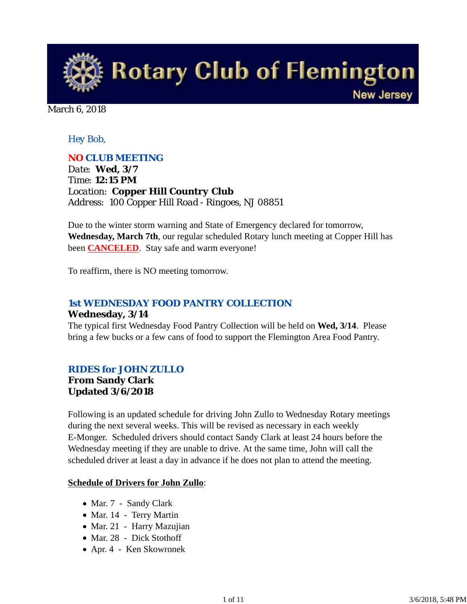

March 6, 2018

## *Hey Bob,*

### *NO CLUB MEETING*

*Date: Wed, 3/7 Time: 12:15 PM Location: Copper Hill Country Club Address: 100 Copper Hill Road - Ringoes, NJ 08851*

Due to the winter storm warning and State of Emergency declared for tomorrow, **Wednesday, March 7th**, our regular scheduled Rotary lunch meeting at Copper Hill has been **CANCELED**. Stay safe and warm everyone!

To reaffirm, there is NO meeting tomorrow.

## *1st WEDNESDAY FOOD PANTRY COLLECTION*

#### **Wednesday, 3/14**

The typical first Wednesday Food Pantry Collection will be held on **Wed, 3/14**. Please bring a few bucks or a few cans of food to support the Flemington Area Food Pantry.

#### *RIDES for JOHN ZULLO*

#### **From Sandy Clark Updated 3/6/2018**

Following is an updated schedule for driving John Zullo to Wednesday Rotary meetings during the next several weeks. This will be revised as necessary in each weekly E-Monger. Scheduled drivers should contact Sandy Clark at least 24 hours before the Wednesday meeting if they are unable to drive. At the same time, John will call the scheduled driver at least a day in advance if he does not plan to attend the meeting.

#### **Schedule of Drivers for John Zullo**:

- Mar. 7 Sandy Clark
- Mar. 14 Terry Martin
- Mar. 21 Harry Mazujian
- Mar. 28 Dick Stothoff
- Apr. 4 Ken Skowronek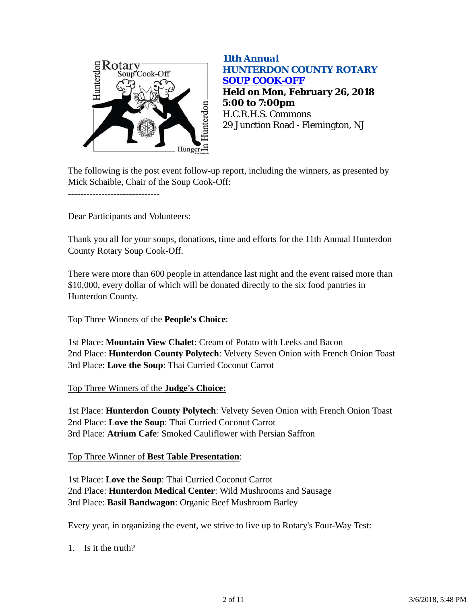

## *11th Annual HUNTERDON COUNTY ROTARY SOUP COOK-OFF* **Held on Mon, February 26, 2018 5:00 to 7:00pm** H.C.R.H.S. Commons 29 Junction Road - Flemington, NJ

The following is the post event follow-up report, including the winners, as presented by Mick Schaible, Chair of the Soup Cook-Off:

Dear Participants and Volunteers:

------------------------------

Thank you all for your soups, donations, time and efforts for the 11th Annual Hunterdon County Rotary Soup Cook-Off.

There were more than 600 people in attendance last night and the event raised more than \$10,000, every dollar of which will be donated directly to the six food pantries in Hunterdon County.

#### Top Three Winners of the **People's Choice**:

1st Place: **Mountain View Chalet**: Cream of Potato with Leeks and Bacon 2nd Place: **Hunterdon County Polytech**: Velvety Seven Onion with French Onion Toast 3rd Place: **Love the Soup**: Thai Curried Coconut Carrot

#### Top Three Winners of the **Judge's Choice:**

1st Place: **Hunterdon County Polytech**: Velvety Seven Onion with French Onion Toast 2nd Place: **Love the Soup**: Thai Curried Coconut Carrot 3rd Place: **Atrium Cafe**: Smoked Cauliflower with Persian Saffron

#### Top Three Winner of **Best Table Presentation**:

1st Place: **Love the Soup**: Thai Curried Coconut Carrot 2nd Place: **Hunterdon Medical Center**: Wild Mushrooms and Sausage 3rd Place: **Basil Bandwagon**: Organic Beef Mushroom Barley

Every year, in organizing the event, we strive to live up to Rotary's Four-Way Test:

1. Is it the truth?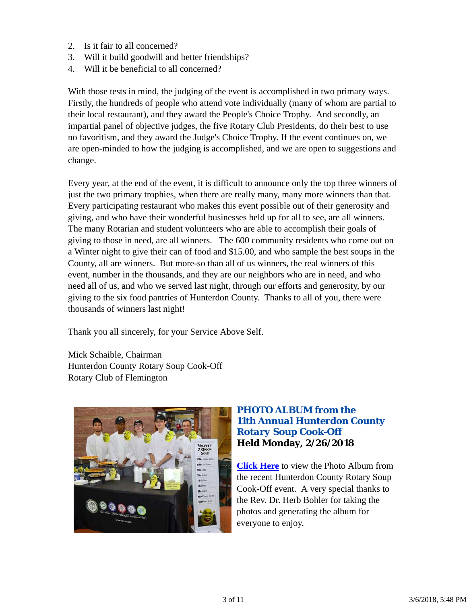- 2. Is it fair to all concerned?
- 3. Will it build goodwill and better friendships?
- 4. Will it be beneficial to all concerned?

With those tests in mind, the judging of the event is accomplished in two primary ways. Firstly, the hundreds of people who attend vote individually (many of whom are partial to their local restaurant), and they award the People's Choice Trophy. And secondly, an impartial panel of objective judges, the five Rotary Club Presidents, do their best to use no favoritism, and they award the Judge's Choice Trophy. If the event continues on, we are open-minded to how the judging is accomplished, and we are open to suggestions and change.

Every year, at the end of the event, it is difficult to announce only the top three winners of just the two primary trophies, when there are really many, many more winners than that. Every participating restaurant who makes this event possible out of their generosity and giving, and who have their wonderful businesses held up for all to see, are all winners. The many Rotarian and student volunteers who are able to accomplish their goals of giving to those in need, are all winners. The 600 community residents who come out on a Winter night to give their can of food and \$15.00, and who sample the best soups in the County, all are winners. But more-so than all of us winners, the real winners of this event, number in the thousands, and they are our neighbors who are in need, and who need all of us, and who we served last night, through our efforts and generosity, by our giving to the six food pantries of Hunterdon County. Thanks to all of you, there were thousands of winners last night!

Thank you all sincerely, for your Service Above Self.

Mick Schaible, Chairman Hunterdon County Rotary Soup Cook-Off Rotary Club of Flemington



## *PHOTO ALBUM from the 11th Annual Hunterdon County Rotary Soup Cook-Off* **Held Monday, 2/26/2018**

**Click Here** to view the Photo Album from the recent Hunterdon County Rotary Soup Cook-Off event. A very special thanks to the Rev. Dr. Herb Bohler for taking the photos and generating the album for everyone to enjoy.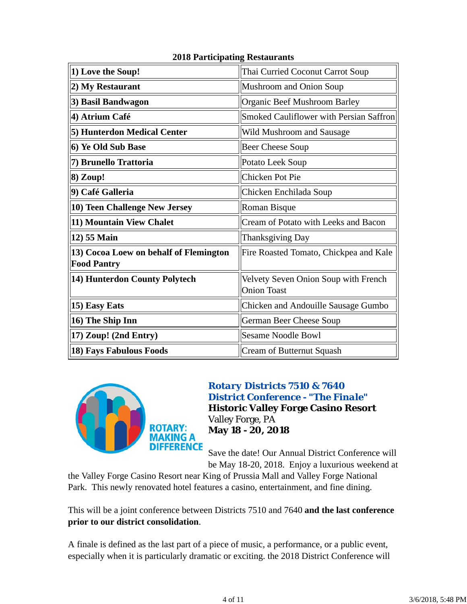| 1) Love the Soup!                                            | Thai Curried Coconut Carrot Soup                           |  |  |
|--------------------------------------------------------------|------------------------------------------------------------|--|--|
| 2) My Restaurant                                             | Mushroom and Onion Soup                                    |  |  |
| 3) Basil Bandwagon                                           | Organic Beef Mushroom Barley                               |  |  |
| 4) Atrium Café                                               | Smoked Cauliflower with Persian Saffron                    |  |  |
| 5) Hunterdon Medical Center                                  | Wild Mushroom and Sausage                                  |  |  |
| 6) Ye Old Sub Base                                           | <b>Beer Cheese Soup</b>                                    |  |  |
| 7) Brunello Trattoria                                        | Potato Leek Soup                                           |  |  |
| 8) Zoup!                                                     | <b>Chicken Pot Pie</b>                                     |  |  |
| 9) Café Galleria                                             | Chicken Enchilada Soup                                     |  |  |
| 10) Teen Challenge New Jersey                                | <b>Roman Bisque</b>                                        |  |  |
| 11) Mountain View Chalet                                     | Cream of Potato with Leeks and Bacon                       |  |  |
| 12) 55 Main                                                  | Thanksgiving Day                                           |  |  |
| 13) Cocoa Loew on behalf of Flemington<br><b>Food Pantry</b> | Fire Roasted Tomato, Chickpea and Kale                     |  |  |
| 14) Hunterdon County Polytech                                | Velvety Seven Onion Soup with French<br><b>Onion Toast</b> |  |  |
| 15) Easy Eats                                                | Chicken and Andouille Sausage Gumbo                        |  |  |
| 16) The Ship Inn                                             | German Beer Cheese Soup                                    |  |  |
| 17) Zoup! (2nd Entry)                                        | <b>Sesame Noodle Bowl</b>                                  |  |  |
| 18) Fays Fabulous Foods                                      | <b>Cream of Butternut Squash</b>                           |  |  |

## **2018 Participating Restaurants**



## *Rotary Districts 7510 & 7640 District Conference - "The Finale"* **Historic Valley Forge Casino Resort** Valley Forge, PA **May 18 - 20, 2018**

Save the date! Our Annual District Conference will be May 18-20, 2018. Enjoy a luxurious weekend at

the Valley Forge Casino Resort near King of Prussia Mall and Valley Forge National Park. This newly renovated hotel features a casino, entertainment, and fine dining.

This will be a joint conference between Districts 7510 and 7640 **and the last conference prior to our district consolidation**.

A finale is defined as the last part of a piece of music, a performance, or a public event, especially when it is particularly dramatic or exciting. the 2018 District Conference will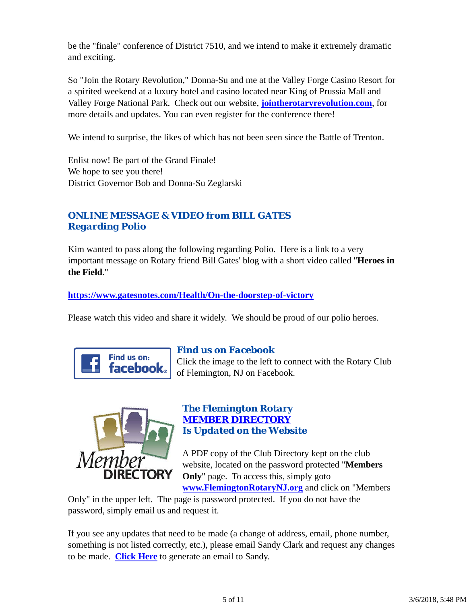be the "finale" conference of District 7510, and we intend to make it extremely dramatic and exciting.

So "Join the Rotary Revolution," Donna-Su and me at the Valley Forge Casino Resort for a spirited weekend at a luxury hotel and casino located near King of Prussia Mall and Valley Forge National Park. Check out our website, **jointherotaryrevolution.com**, for more details and updates. You can even register for the conference there!

We intend to surprise, the likes of which has not been seen since the Battle of Trenton.

Enlist now! Be part of the Grand Finale! We hope to see you there! District Governor Bob and Donna-Su Zeglarski

## *ONLINE MESSAGE & VIDEO from BILL GATES Regarding Polio*

Kim wanted to pass along the following regarding Polio. Here is a link to a very important message on Rotary friend Bill Gates' blog with a short video called "**Heroes in the Field**."

**https://www.gatesnotes.com/Health/On-the-doorstep-of-victory**

Please watch this video and share it widely. We should be proud of our polio heroes.



## *Find us on Facebook*

Click the image to the left to connect with the Rotary Club of Flemington, NJ on Facebook.



### *The Flemington Rotary MEMBER DIRECTORY Is Updated on the Website*

A PDF copy of the Club Directory kept on the club website, located on the password protected "**Members Only**" page. To access this, simply goto

**www.FlemingtonRotaryNJ.org** and click on "Members

Only" in the upper left. The page is password protected. If you do not have the password, simply email us and request it.

If you see any updates that need to be made (a change of address, email, phone number, something is not listed correctly, etc.), please email Sandy Clark and request any changes to be made. **Click Here** to generate an email to Sandy.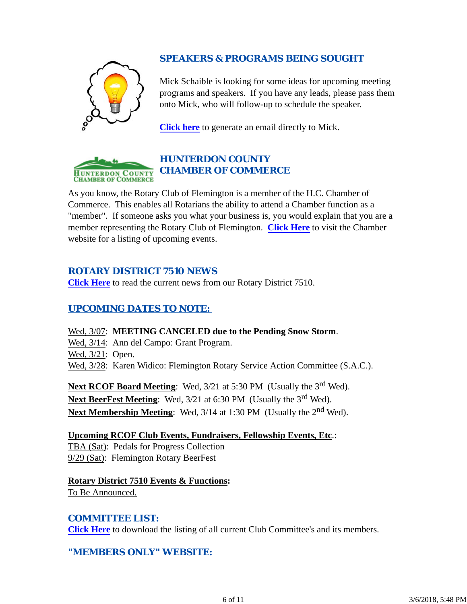## *SPEAKERS & PROGRAMS BEING SOUGHT*

Mick Schaible is looking for some ideas for upcoming meeting programs and speakers. If you have any leads, please pass them onto Mick, who will follow-up to schedule the speaker.

**Click here** to generate an email directly to Mick.



As you know, the Rotary Club of Flemington is a member of the H.C. Chamber of Commerce. This enables all Rotarians the ability to attend a Chamber function as a "member". If someone asks you what your business is, you would explain that you are a member representing the Rotary Club of Flemington. **Click Here** to visit the Chamber website for a listing of upcoming events.

## *ROTARY DISTRICT 7510 NEWS*

**Click Here** to read the current news from our Rotary District 7510.

## *UPCOMING DATES TO NOTE:*

## Wed, 3/07: **MEETING CANCELED due to the Pending Snow Storm**.

Wed,  $3/14$ : Ann del Campo: Grant Program.

Wed,  $3/21$ : Open.

Wed, 3/28: Karen Widico: Flemington Rotary Service Action Committee (S.A.C.).

Next RCOF Board Meeting: Wed, 3/21 at 5:30 PM (Usually the 3<sup>rd</sup> Wed). Next BeerFest Meeting: Wed, 3/21 at 6:30 PM (Usually the 3<sup>rd</sup> Wed). Next Membership Meeting: Wed, 3/14 at 1:30 PM (Usually the 2<sup>nd</sup> Wed).

**Upcoming RCOF Club Events, Fundraisers, Fellowship Events, Etc**.: TBA (Sat): Pedals for Progress Collection 9/29 (Sat): Flemington Rotary BeerFest

**Rotary District 7510 Events & Functions:** To Be Announced.

## *COMMITTEE LIST:*

**Click Here** to download the listing of all current Club Committee's and its members.

## *"MEMBERS ONLY" WEBSITE:*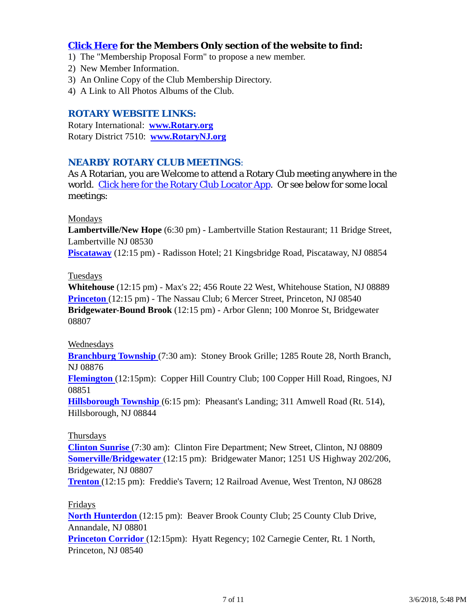## **Click Here for the Members Only section of the website to find:**

- 1) The "Membership Proposal Form" to propose a new member.
- 2) New Member Information.
- 3) An Online Copy of the Club Membership Directory.
- 4) A Link to All Photos Albums of the Club.

#### *ROTARY WEBSITE LINKS:*

Rotary International: **www.Rotary.org** Rotary District 7510: **www.RotaryNJ.org**

#### *NEARBY ROTARY CLUB MEETINGS:*

As A Rotarian, you are Welcome to attend a Rotary Club meeting anywhere in the world. Click here for the Rotary Club Locator App. Or see below for some local meetings:

#### Mondays

**Lambertville/New Hope** (6:30 pm) - Lambertville Station Restaurant; 11 Bridge Street, Lambertville NJ 08530

**Piscataway** (12:15 pm) - Radisson Hotel; 21 Kingsbridge Road, Piscataway, NJ 08854

#### Tuesdays

**Whitehouse** (12:15 pm) - Max's 22; 456 Route 22 West, Whitehouse Station, NJ 08889 **Princeton** (12:15 pm) - The Nassau Club; 6 Mercer Street, Princeton, NJ 08540 **Bridgewater-Bound Brook** (12:15 pm) - Arbor Glenn; 100 Monroe St, Bridgewater 08807

#### Wednesdays

**Branchburg Township** (7:30 am): Stoney Brook Grille; 1285 Route 28, North Branch, NJ 08876

**Flemington** (12:15pm): Copper Hill Country Club; 100 Copper Hill Road, Ringoes, NJ 08851

**Hillsborough Township** (6:15 pm): Pheasant's Landing; 311 Amwell Road (Rt. 514), Hillsborough, NJ 08844

#### Thursdays

**Clinton Sunrise** (7:30 am): Clinton Fire Department; New Street, Clinton, NJ 08809 **Somerville/Bridgewater** (12:15 pm): Bridgewater Manor; 1251 US Highway 202/206, Bridgewater, NJ 08807

**Trenton** (12:15 pm): Freddie's Tavern; 12 Railroad Avenue, West Trenton, NJ 08628

#### Fridays

**North Hunterdon** (12:15 pm): Beaver Brook County Club; 25 County Club Drive, Annandale, NJ 08801

**Princeton Corridor** (12:15pm): Hyatt Regency; 102 Carnegie Center, Rt. 1 North, Princeton, NJ 08540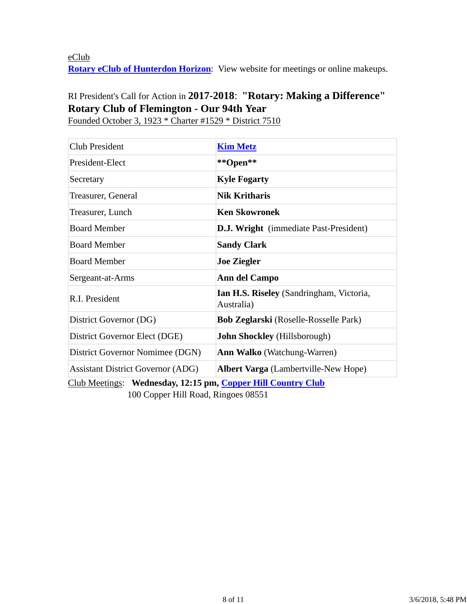eClub **Rotary eClub of Hunterdon Horizon**: View website for meetings or online makeups.

# RI President's Call for Action in **2017-2018**: **"Rotary: Making a Difference" Rotary Club of Flemington - Our 94th Year**

Club President **Kim Metz** President-Elect **\*\*Open\*\*** Secretary **Kyle Fogarty** Treasurer, General **Nik Kritharis** Treasurer, Lunch **Ken Skowronek** Board Member **D.J. Wright** (immediate Past-President) **Board Member Sandy Clark** Board Member **Joe Ziegler** Sergeant-at-Arms **Ann del Campo** R.I. President **Ian H.S. Riseley** (Sandringham, Victoria, Australia) District Governor (DG) **Bob Zeglarski** (Roselle-Rosselle Park) District Governor Elect (DGE) **John Shockley** (Hillsborough) District Governor Nomimee (DGN) **Ann Walko** (Watchung-Warren) Assistant District Governor (ADG) **Albert Varga** (Lambertville-New Hope)

Founded October 3, 1923 \* Charter #1529 \* District 7510

Club Meetings: **Wednesday, 12:15 pm, Copper Hill Country Club** 100 Copper Hill Road, Ringoes 08551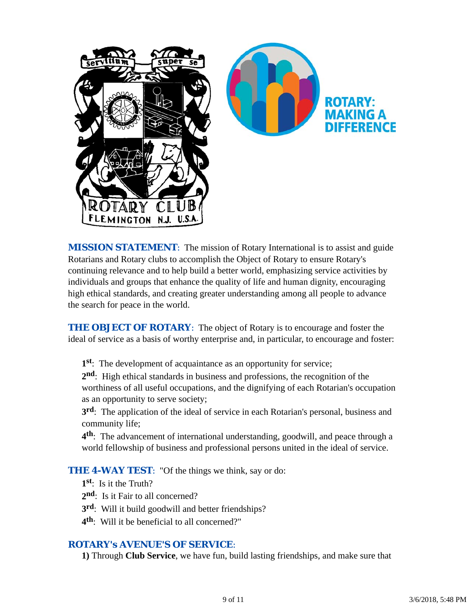

*MISSION STATEMENT*: The mission of Rotary International is to assist and guide Rotarians and Rotary clubs to accomplish the Object of Rotary to ensure Rotary's continuing relevance and to help build a better world, emphasizing service activities by individuals and groups that enhance the quality of life and human dignity, encouraging high ethical standards, and creating greater understanding among all people to advance the search for peace in the world.

**THE OBJECT OF ROTARY:** The object of Rotary is to encourage and foster the ideal of service as a basis of worthy enterprise and, in particular, to encourage and foster:

**1st**: The development of acquaintance as an opportunity for service;

**2nd**: High ethical standards in business and professions, the recognition of the worthiness of all useful occupations, and the dignifying of each Rotarian's occupation as an opportunity to serve society;

**3rd**: The application of the ideal of service in each Rotarian's personal, business and community life;

**4th**: The advancement of international understanding, goodwill, and peace through a world fellowship of business and professional persons united in the ideal of service.

**THE 4-WAY TEST:** "Of the things we think, say or do:

- **1st**: Is it the Truth?
- 2<sup>nd</sup>: Is it Fair to all concerned?
- **3rd**: Will it build goodwill and better friendships?
- **4th**: Will it be beneficial to all concerned?"

#### *ROTARY's AVENUE'S OF SERVICE*:

**1)** Through **Club Service**, we have fun, build lasting friendships, and make sure that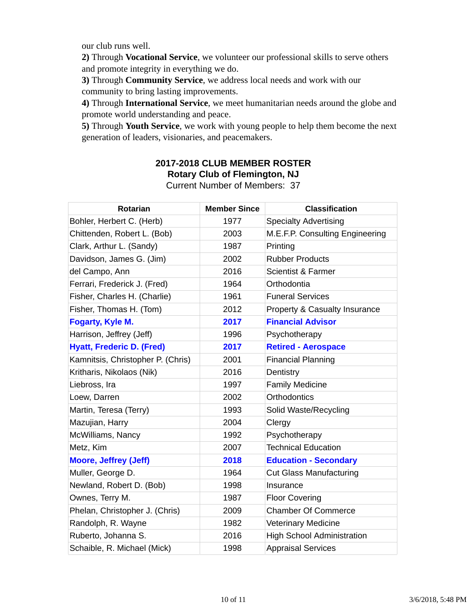our club runs well.

**2)** Through **Vocational Service**, we volunteer our professional skills to serve others and promote integrity in everything we do.

**3)** Through **Community Service**, we address local needs and work with our community to bring lasting improvements.

**4)** Through **International Service**, we meet humanitarian needs around the globe and promote world understanding and peace.

**5)** Through **Youth Service**, we work with young people to help them become the next generation of leaders, visionaries, and peacemakers.

## **2017-2018 CLUB MEMBER ROSTER Rotary Club of Flemington, NJ**

|  |  |  | <b>Current Number of Members: 37</b> |  |
|--|--|--|--------------------------------------|--|
|--|--|--|--------------------------------------|--|

| <b>Rotarian</b>                   | <b>Member Since</b> | <b>Classification</b>             |
|-----------------------------------|---------------------|-----------------------------------|
| Bohler, Herbert C. (Herb)         | 1977                | <b>Specialty Advertising</b>      |
| Chittenden, Robert L. (Bob)       | 2003                | M.E.F.P. Consulting Engineering   |
| Clark, Arthur L. (Sandy)          | 1987                | Printing                          |
| Davidson, James G. (Jim)          | 2002                | <b>Rubber Products</b>            |
| del Campo, Ann                    | 2016                | <b>Scientist &amp; Farmer</b>     |
| Ferrari, Frederick J. (Fred)      | 1964                | Orthodontia                       |
| Fisher, Charles H. (Charlie)      | 1961                | <b>Funeral Services</b>           |
| Fisher, Thomas H. (Tom)           | 2012                | Property & Casualty Insurance     |
| Fogarty, Kyle M.                  | 2017                | <b>Financial Advisor</b>          |
| Harrison, Jeffrey (Jeff)          | 1996                | Psychotherapy                     |
| <b>Hyatt, Frederic D. (Fred)</b>  | 2017                | <b>Retired - Aerospace</b>        |
| Kamnitsis, Christopher P. (Chris) | 2001                | <b>Financial Planning</b>         |
| Kritharis, Nikolaos (Nik)         | 2016                | Dentistry                         |
| Liebross, Ira                     | 1997                | <b>Family Medicine</b>            |
| Loew, Darren                      | 2002                | <b>Orthodontics</b>               |
| Martin, Teresa (Terry)            | 1993                | Solid Waste/Recycling             |
| Mazujian, Harry                   | 2004                | Clergy                            |
| McWilliams, Nancy                 | 1992                | Psychotherapy                     |
| Metz, Kim                         | 2007                | <b>Technical Education</b>        |
| <b>Moore, Jeffrey (Jeff)</b>      | 2018                | <b>Education - Secondary</b>      |
| Muller, George D.                 | 1964                | <b>Cut Glass Manufacturing</b>    |
| Newland, Robert D. (Bob)          | 1998                | Insurance                         |
| Ownes, Terry M.                   | 1987                | <b>Floor Covering</b>             |
| Phelan, Christopher J. (Chris)    | 2009                | <b>Chamber Of Commerce</b>        |
| Randolph, R. Wayne                | 1982                | <b>Veterinary Medicine</b>        |
| Ruberto, Johanna S.               | 2016                | <b>High School Administration</b> |
| Schaible, R. Michael (Mick)       | 1998                | <b>Appraisal Services</b>         |